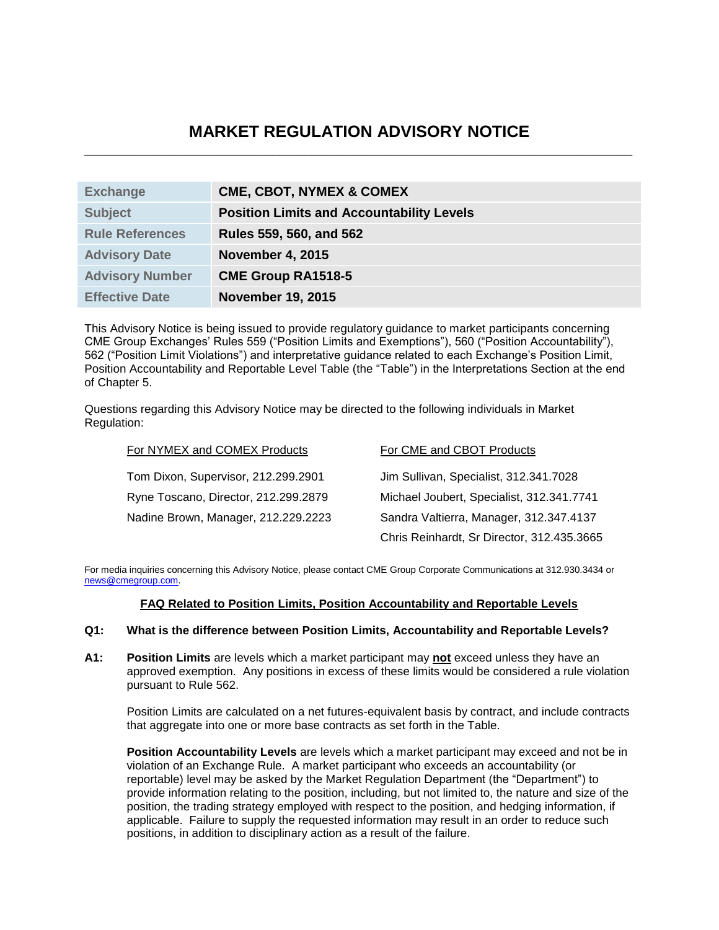# **MARKET REGULATION ADVISORY NOTICE \_\_\_\_\_\_\_\_\_\_\_\_\_\_\_\_\_\_\_\_\_\_\_\_\_\_\_\_\_\_\_\_\_\_\_\_\_\_\_\_\_\_\_\_\_\_\_\_\_\_\_\_\_\_\_\_\_\_\_\_\_\_\_\_\_\_\_\_\_\_**

| <b>Exchange</b>        | <b>CME, CBOT, NYMEX &amp; COMEX</b>              |
|------------------------|--------------------------------------------------|
| <b>Subject</b>         | <b>Position Limits and Accountability Levels</b> |
| <b>Rule References</b> | Rules 559, 560, and 562                          |
| <b>Advisory Date</b>   | <b>November 4, 2015</b>                          |
| <b>Advisory Number</b> | <b>CME Group RA1518-5</b>                        |
| <b>Effective Date</b>  | <b>November 19, 2015</b>                         |

This Advisory Notice is being issued to provide regulatory guidance to market participants concerning CME Group Exchanges' Rules 559 ("Position Limits and Exemptions"), 560 ("Position Accountability"), 562 ("Position Limit Violations") and interpretative guidance related to each Exchange's Position Limit, Position Accountability and Reportable Level Table (the "Table") in the Interpretations Section at the end of Chapter 5.

Questions regarding this Advisory Notice may be directed to the following individuals in Market Regulation:

| For NYMEX and COMEX Products         | For CME and CBOT Products                  |
|--------------------------------------|--------------------------------------------|
| Tom Dixon, Supervisor, 212.299.2901  | Jim Sullivan, Specialist, 312.341.7028     |
| Ryne Toscano, Director, 212.299.2879 | Michael Joubert, Specialist, 312.341.7741  |
| Nadine Brown, Manager, 212.229.2223  | Sandra Valtierra, Manager, 312.347.4137    |
|                                      | Chris Reinhardt, Sr Director, 312.435.3665 |

For media inquiries concerning this Advisory Notice, please contact CME Group Corporate Communications at 312.930.3434 or [news@cmegroup.com.](mailto:news@cmegroup.com)

# **FAQ Related to Position Limits, Position Accountability and Reportable Levels**

## **Q1: What is the difference between Position Limits, Accountability and Reportable Levels?**

**A1: Position Limits** are levels which a market participant may **not** exceed unless they have an approved exemption. Any positions in excess of these limits would be considered a rule violation pursuant to Rule 562.

Position Limits are calculated on a net futures-equivalent basis by contract, and include contracts that aggregate into one or more base contracts as set forth in the Table.

**Position Accountability Levels** are levels which a market participant may exceed and not be in violation of an Exchange Rule. A market participant who exceeds an accountability (or reportable) level may be asked by the Market Regulation Department (the "Department") to provide information relating to the position, including, but not limited to, the nature and size of the position, the trading strategy employed with respect to the position, and hedging information, if applicable. Failure to supply the requested information may result in an order to reduce such positions, in addition to disciplinary action as a result of the failure.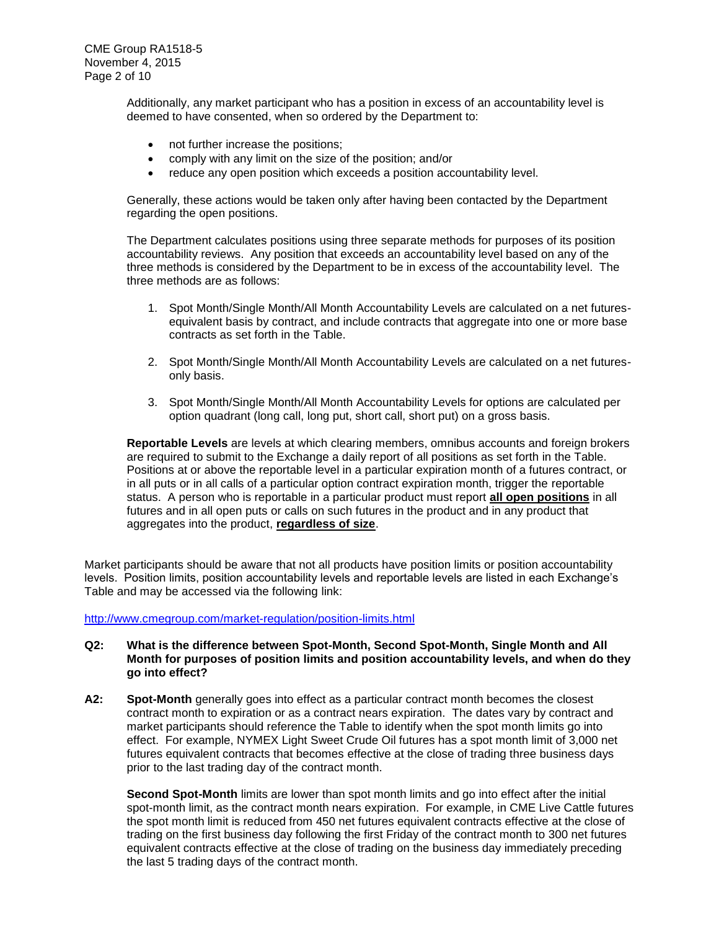Additionally, any market participant who has a position in excess of an accountability level is deemed to have consented, when so ordered by the Department to:

- not further increase the positions;
- comply with any limit on the size of the position; and/or
- reduce any open position which exceeds a position accountability level.

Generally, these actions would be taken only after having been contacted by the Department regarding the open positions.

The Department calculates positions using three separate methods for purposes of its position accountability reviews. Any position that exceeds an accountability level based on any of the three methods is considered by the Department to be in excess of the accountability level. The three methods are as follows:

- 1. Spot Month/Single Month/All Month Accountability Levels are calculated on a net futuresequivalent basis by contract, and include contracts that aggregate into one or more base contracts as set forth in the Table.
- 2. Spot Month/Single Month/All Month Accountability Levels are calculated on a net futuresonly basis.
- 3. Spot Month/Single Month/All Month Accountability Levels for options are calculated per option quadrant (long call, long put, short call, short put) on a gross basis.

**Reportable Levels** are levels at which clearing members, omnibus accounts and foreign brokers are required to submit to the Exchange a daily report of all positions as set forth in the Table. Positions at or above the reportable level in a particular expiration month of a futures contract, or in all puts or in all calls of a particular option contract expiration month, trigger the reportable status. A person who is reportable in a particular product must report **all open positions** in all futures and in all open puts or calls on such futures in the product and in any product that aggregates into the product, **regardless of size**.

Market participants should be aware that not all products have position limits or position accountability levels. Position limits, position accountability levels and reportable levels are listed in each Exchange's Table and may be accessed via the following link:

<http://www.cmegroup.com/market-regulation/position-limits.html>

#### **Q2: What is the difference between Spot-Month, Second Spot-Month, Single Month and All Month for purposes of position limits and position accountability levels, and when do they go into effect?**

**A2: Spot-Month** generally goes into effect as a particular contract month becomes the closest contract month to expiration or as a contract nears expiration. The dates vary by contract and market participants should reference the Table to identify when the spot month limits go into effect. For example, NYMEX Light Sweet Crude Oil futures has a spot month limit of 3,000 net futures equivalent contracts that becomes effective at the close of trading three business days prior to the last trading day of the contract month.

**Second Spot-Month** limits are lower than spot month limits and go into effect after the initial spot-month limit, as the contract month nears expiration. For example, in CME Live Cattle futures the spot month limit is reduced from 450 net futures equivalent contracts effective at the close of trading on the first business day following the first Friday of the contract month to 300 net futures equivalent contracts effective at the close of trading on the business day immediately preceding the last 5 trading days of the contract month.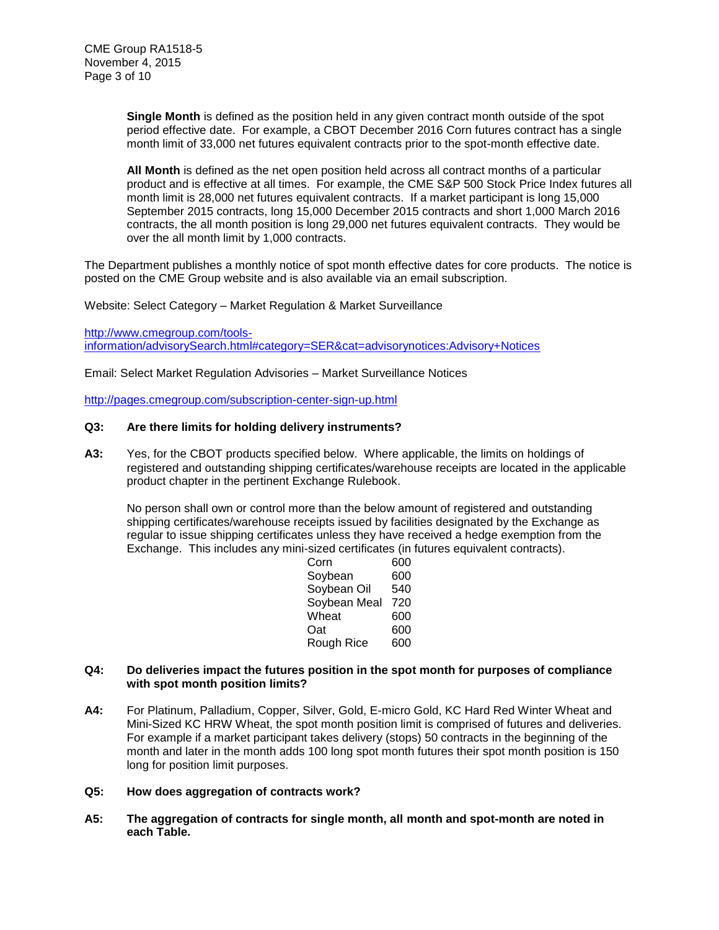**Single Month** is defined as the position held in any given contract month outside of the spot period effective date. For example, a CBOT December 2016 Corn futures contract has a single month limit of 33,000 net futures equivalent contracts prior to the spot-month effective date.

**All Month** is defined as the net open position held across all contract months of a particular product and is effective at all times. For example, the CME S&P 500 Stock Price Index futures all month limit is 28,000 net futures equivalent contracts. If a market participant is long 15,000 September 2015 contracts, long 15,000 December 2015 contracts and short 1,000 March 2016 contracts, the all month position is long 29,000 net futures equivalent contracts. They would be over the all month limit by 1,000 contracts.

The Department publishes a monthly notice of spot month effective dates for core products. The notice is posted on the CME Group website and is also available via an email subscription.

Website: Select Category – Market Regulation & Market Surveillance

[http://www.cmegroup.com/tools](http://www.cmegroup.com/tools-information/advisorySearch.html#category=SER&cat=advisorynotices:Advisory+Notices)[information/advisorySearch.html#category=SER&cat=advisorynotices:Advisory+Notices](http://www.cmegroup.com/tools-information/advisorySearch.html#category=SER&cat=advisorynotices:Advisory+Notices)

Email: Select Market Regulation Advisories – Market Surveillance Notices

<http://pages.cmegroup.com/subscription-center-sign-up.html>

#### **Q3: Are there limits for holding delivery instruments?**

**A3:** Yes, for the CBOT products specified below. Where applicable, the limits on holdings of registered and outstanding shipping certificates/warehouse receipts are located in the applicable product chapter in the pertinent Exchange Rulebook.

No person shall own or control more than the below amount of registered and outstanding shipping certificates/warehouse receipts issued by facilities designated by the Exchange as regular to issue shipping certificates unless they have received a hedge exemption from the Exchange. This includes any mini-sized certificates (in futures equivalent contracts).

| Corn         | 600 |
|--------------|-----|
| Soybean      | 600 |
| Soybean Oil  | 540 |
| Soybean Meal | 720 |
| Wheat        | 600 |
| Oat          | 600 |
| Rough Rice   | 600 |
|              |     |

#### **Q4: Do deliveries impact the futures position in the spot month for purposes of compliance with spot month position limits?**

**A4:** For Platinum, Palladium, Copper, Silver, Gold, E-micro Gold, KC Hard Red Winter Wheat and Mini-Sized KC HRW Wheat, the spot month position limit is comprised of futures and deliveries. For example if a market participant takes delivery (stops) 50 contracts in the beginning of the month and later in the month adds 100 long spot month futures their spot month position is 150 long for position limit purposes.

#### **Q5: How does aggregation of contracts work?**

**A5: The aggregation of contracts for single month, all month and spot-month are noted in each Table.**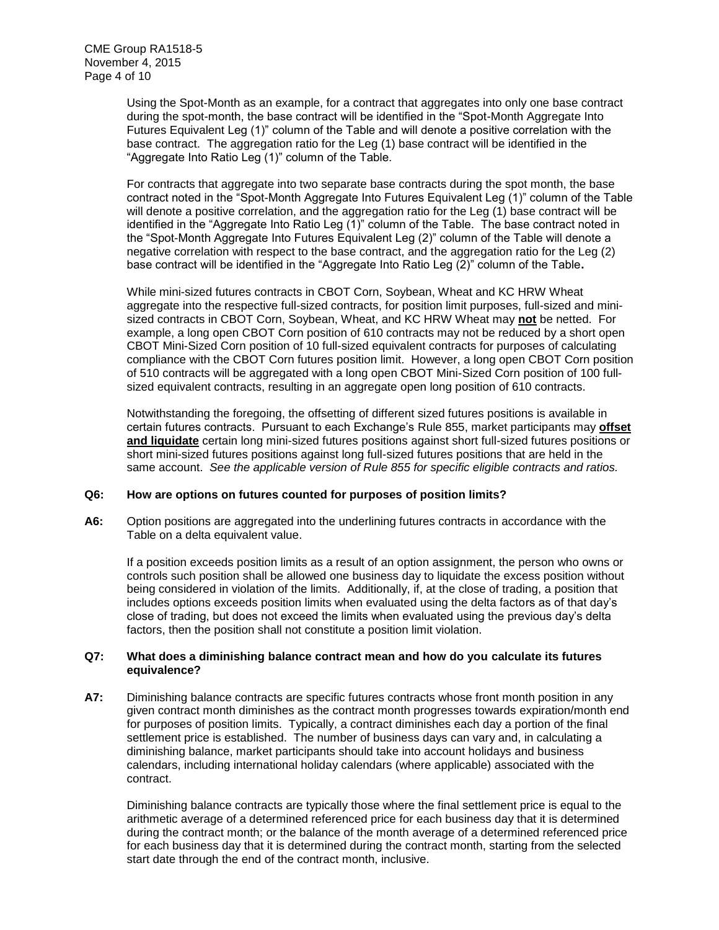Using the Spot-Month as an example, for a contract that aggregates into only one base contract during the spot-month, the base contract will be identified in the "Spot-Month Aggregate Into Futures Equivalent Leg (1)" column of the Table and will denote a positive correlation with the base contract. The aggregation ratio for the Leg (1) base contract will be identified in the "Aggregate Into Ratio Leg (1)" column of the Table.

For contracts that aggregate into two separate base contracts during the spot month, the base contract noted in the "Spot-Month Aggregate Into Futures Equivalent Leg (1)" column of the Table will denote a positive correlation, and the aggregation ratio for the Leg (1) base contract will be identified in the "Aggregate Into Ratio Leg (1)" column of the Table. The base contract noted in the "Spot-Month Aggregate Into Futures Equivalent Leg (2)" column of the Table will denote a negative correlation with respect to the base contract, and the aggregation ratio for the Leg (2) base contract will be identified in the "Aggregate Into Ratio Leg (2)" column of the Table**.**

While mini-sized futures contracts in CBOT Corn, Soybean, Wheat and KC HRW Wheat aggregate into the respective full-sized contracts, for position limit purposes, full-sized and minisized contracts in CBOT Corn, Soybean, Wheat, and KC HRW Wheat may **not** be netted. For example, a long open CBOT Corn position of 610 contracts may not be reduced by a short open CBOT Mini-Sized Corn position of 10 full-sized equivalent contracts for purposes of calculating compliance with the CBOT Corn futures position limit. However, a long open CBOT Corn position of 510 contracts will be aggregated with a long open CBOT Mini-Sized Corn position of 100 fullsized equivalent contracts, resulting in an aggregate open long position of 610 contracts.

Notwithstanding the foregoing, the offsetting of different sized futures positions is available in certain futures contracts. Pursuant to each Exchange's Rule 855, market participants may **offset and liquidate** certain long mini-sized futures positions against short full-sized futures positions or short mini-sized futures positions against long full-sized futures positions that are held in the same account. *See the applicable version of Rule 855 for specific eligible contracts and ratios.* 

## **Q6: How are options on futures counted for purposes of position limits?**

**A6:** Option positions are aggregated into the underlining futures contracts in accordance with the Table on a delta equivalent value.

If a position exceeds position limits as a result of an option assignment, the person who owns or controls such position shall be allowed one business day to liquidate the excess position without being considered in violation of the limits. Additionally, if, at the close of trading, a position that includes options exceeds position limits when evaluated using the delta factors as of that day's close of trading, but does not exceed the limits when evaluated using the previous day's delta factors, then the position shall not constitute a position limit violation.

## **Q7: What does a diminishing balance contract mean and how do you calculate its futures equivalence?**

**A7:** Diminishing balance contracts are specific futures contracts whose front month position in any given contract month diminishes as the contract month progresses towards expiration/month end for purposes of position limits. Typically, a contract diminishes each day a portion of the final settlement price is established. The number of business days can vary and, in calculating a diminishing balance, market participants should take into account holidays and business calendars, including international holiday calendars (where applicable) associated with the contract.

Diminishing balance contracts are typically those where the final settlement price is equal to the arithmetic average of a determined referenced price for each business day that it is determined during the contract month; or the balance of the month average of a determined referenced price for each business day that it is determined during the contract month, starting from the selected start date through the end of the contract month, inclusive.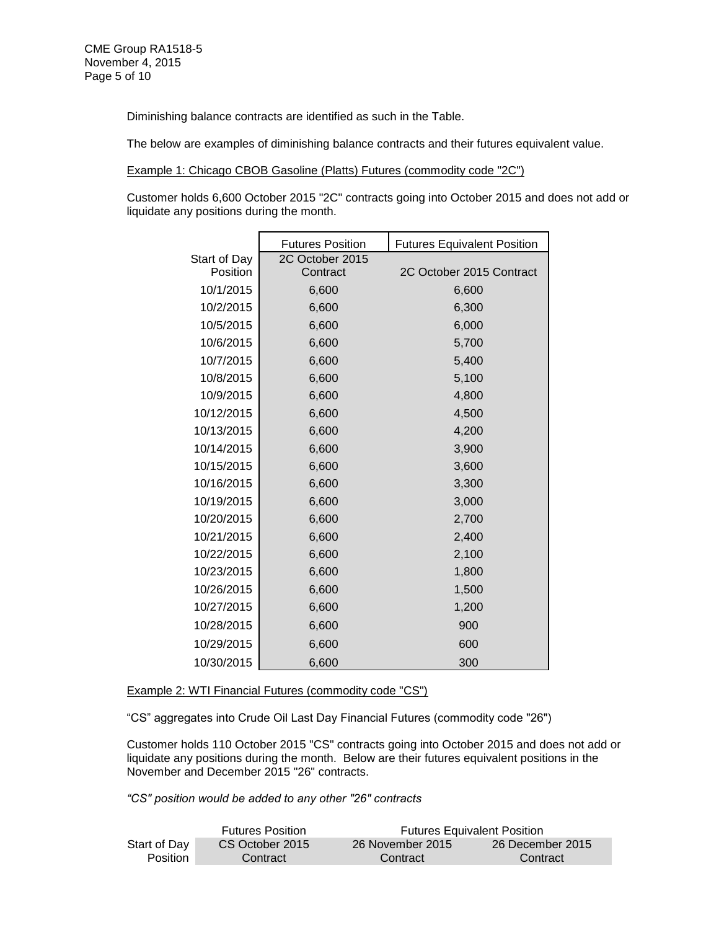Diminishing balance contracts are identified as such in the Table.

The below are examples of diminishing balance contracts and their futures equivalent value.

Example 1: Chicago CBOB Gasoline (Platts) Futures (commodity code "2C")

Customer holds 6,600 October 2015 "2C" contracts going into October 2015 and does not add or liquidate any positions during the month.

|              | <b>Futures Position</b> | <b>Futures Equivalent Position</b> |
|--------------|-------------------------|------------------------------------|
| Start of Day | 2C October 2015         |                                    |
| Position     | Contract                | 2C October 2015 Contract           |
| 10/1/2015    | 6,600                   | 6,600                              |
| 10/2/2015    | 6,600                   | 6,300                              |
| 10/5/2015    | 6,600                   | 6,000                              |
| 10/6/2015    | 6,600                   | 5,700                              |
| 10/7/2015    | 6,600                   | 5,400                              |
| 10/8/2015    | 6,600                   | 5,100                              |
| 10/9/2015    | 6,600                   | 4,800                              |
| 10/12/2015   | 6,600                   | 4,500                              |
| 10/13/2015   | 6,600                   | 4,200                              |
| 10/14/2015   | 6,600                   | 3,900                              |
| 10/15/2015   | 6,600                   | 3,600                              |
| 10/16/2015   | 6,600                   | 3,300                              |
| 10/19/2015   | 6,600                   | 3,000                              |
| 10/20/2015   | 6,600                   | 2,700                              |
| 10/21/2015   | 6,600                   | 2,400                              |
| 10/22/2015   | 6,600                   | 2,100                              |
| 10/23/2015   | 6,600                   | 1,800                              |
| 10/26/2015   | 6,600                   | 1,500                              |
| 10/27/2015   | 6,600                   | 1,200                              |
| 10/28/2015   | 6,600                   | 900                                |
| 10/29/2015   | 6,600                   | 600                                |
| 10/30/2015   | 6,600                   | 300                                |

Example 2: WTI Financial Futures (commodity code "CS")

"CS" aggregates into Crude Oil Last Day Financial Futures (commodity code "26")

Customer holds 110 October 2015 "CS" contracts going into October 2015 and does not add or liquidate any positions during the month. Below are their futures equivalent positions in the November and December 2015 "26" contracts.

*"CS" position would be added to any other "26" contracts*

|              | <b>Futures Position</b> |                  | <b>Futures Equivalent Position</b> |
|--------------|-------------------------|------------------|------------------------------------|
| Start of Day | CS October 2015         | 26 November 2015 | 26 December 2015                   |
| Position     | Contract                | Contract         | Contract                           |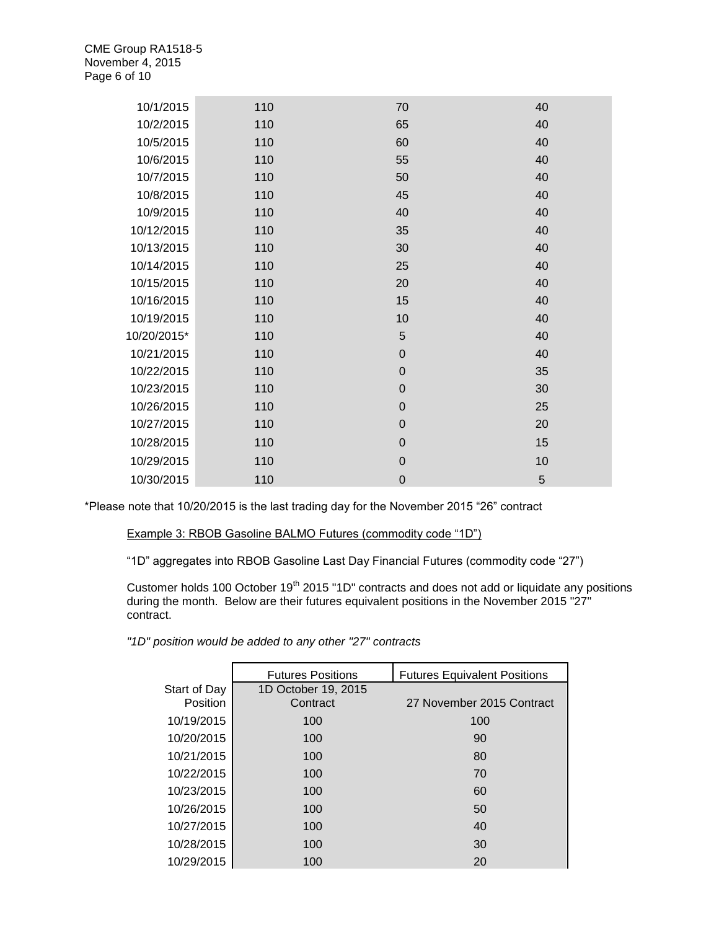| 10/1/2015   | 110 | 70          | 40 |
|-------------|-----|-------------|----|
| 10/2/2015   | 110 | 65          | 40 |
| 10/5/2015   | 110 | 60          | 40 |
| 10/6/2015   | 110 | 55          | 40 |
| 10/7/2015   | 110 | 50          | 40 |
| 10/8/2015   | 110 | 45          | 40 |
| 10/9/2015   | 110 | 40          | 40 |
| 10/12/2015  | 110 | 35          | 40 |
| 10/13/2015  | 110 | 30          | 40 |
| 10/14/2015  | 110 | 25          | 40 |
| 10/15/2015  | 110 | 20          | 40 |
| 10/16/2015  | 110 | 15          | 40 |
| 10/19/2015  | 110 | 10          | 40 |
| 10/20/2015* | 110 | 5           | 40 |
| 10/21/2015  | 110 | $\mathbf 0$ | 40 |
| 10/22/2015  | 110 | $\mathbf 0$ | 35 |
| 10/23/2015  | 110 | $\mathbf 0$ | 30 |
| 10/26/2015  | 110 | $\mathbf 0$ | 25 |
| 10/27/2015  | 110 | $\mathbf 0$ | 20 |
| 10/28/2015  | 110 | $\mathbf 0$ | 15 |
| 10/29/2015  | 110 | $\mathbf 0$ | 10 |
| 10/30/2015  | 110 | $\mathbf 0$ | 5  |

\*Please note that 10/20/2015 is the last trading day for the November 2015 "26" contract

## Example 3: RBOB Gasoline BALMO Futures (commodity code "1D")

"1D" aggregates into RBOB Gasoline Last Day Financial Futures (commodity code "27")

Customer holds 100 October 19<sup>th</sup> 2015 "1D" contracts and does not add or liquidate any positions during the month. Below are their futures equivalent positions in the November 2015 "27" contract.

*"1D" position would be added to any other "27" contracts*

|                          | <b>Futures Positions</b>        | <b>Futures Equivalent Positions</b> |
|--------------------------|---------------------------------|-------------------------------------|
| Start of Day<br>Position | 1D October 19, 2015<br>Contract | 27 November 2015 Contract           |
| 10/19/2015               | 100                             | 100                                 |
| 10/20/2015               | 100                             | 90                                  |
| 10/21/2015               | 100                             | 80                                  |
| 10/22/2015               | 100                             | 70                                  |
| 10/23/2015               | 100                             | 60                                  |
| 10/26/2015               | 100                             | 50                                  |
| 10/27/2015               | 100                             | 40                                  |
| 10/28/2015               | 100                             | 30                                  |
| 10/29/2015               | 100                             | 20                                  |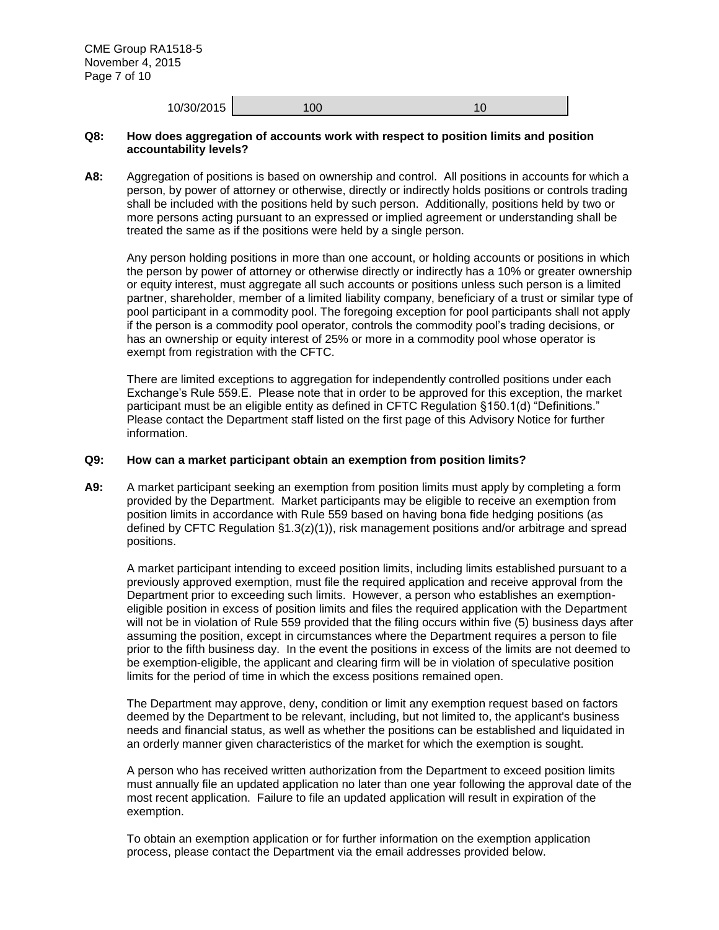| 10/30/2015<br>100 |
|-------------------|
|-------------------|

#### **Q8: How does aggregation of accounts work with respect to position limits and position accountability levels?**

**A8:** Aggregation of positions is based on ownership and control. All positions in accounts for which a person, by power of attorney or otherwise, directly or indirectly holds positions or controls trading shall be included with the positions held by such person. Additionally, positions held by two or more persons acting pursuant to an expressed or implied agreement or understanding shall be treated the same as if the positions were held by a single person.

Any person holding positions in more than one account, or holding accounts or positions in which the person by power of attorney or otherwise directly or indirectly has a 10% or greater ownership or equity interest, must aggregate all such accounts or positions unless such person is a limited partner, shareholder, member of a limited liability company, beneficiary of a trust or similar type of pool participant in a commodity pool. The foregoing exception for pool participants shall not apply if the person is a commodity pool operator, controls the commodity pool's trading decisions, or has an ownership or equity interest of 25% or more in a commodity pool whose operator is exempt from registration with the CFTC.

There are limited exceptions to aggregation for independently controlled positions under each Exchange's Rule 559.E. Please note that in order to be approved for this exception, the market participant must be an eligible entity as defined in CFTC Regulation §150.1(d) "Definitions." Please contact the Department staff listed on the first page of this Advisory Notice for further information.

#### **Q9: How can a market participant obtain an exemption from position limits?**

**A9:** A market participant seeking an exemption from position limits must apply by completing a form provided by the Department. Market participants may be eligible to receive an exemption from position limits in accordance with Rule 559 based on having bona fide hedging positions (as defined by CFTC Regulation §1.3(z)(1)), risk management positions and/or arbitrage and spread positions.

A market participant intending to exceed position limits, including limits established pursuant to a previously approved exemption, must file the required application and receive approval from the Department prior to exceeding such limits. However, a person who establishes an exemptioneligible position in excess of position limits and files the required application with the Department will not be in violation of Rule 559 provided that the filing occurs within five (5) business days after assuming the position, except in circumstances where the Department requires a person to file prior to the fifth business day. In the event the positions in excess of the limits are not deemed to be exemption-eligible, the applicant and clearing firm will be in violation of speculative position limits for the period of time in which the excess positions remained open.

The Department may approve, deny, condition or limit any exemption request based on factors deemed by the Department to be relevant, including, but not limited to, the applicant's business needs and financial status, as well as whether the positions can be established and liquidated in an orderly manner given characteristics of the market for which the exemption is sought.

A person who has received written authorization from the Department to exceed position limits must annually file an updated application no later than one year following the approval date of the most recent application. Failure to file an updated application will result in expiration of the exemption.

To obtain an exemption application or for further information on the exemption application process, please contact the Department via the email addresses provided below.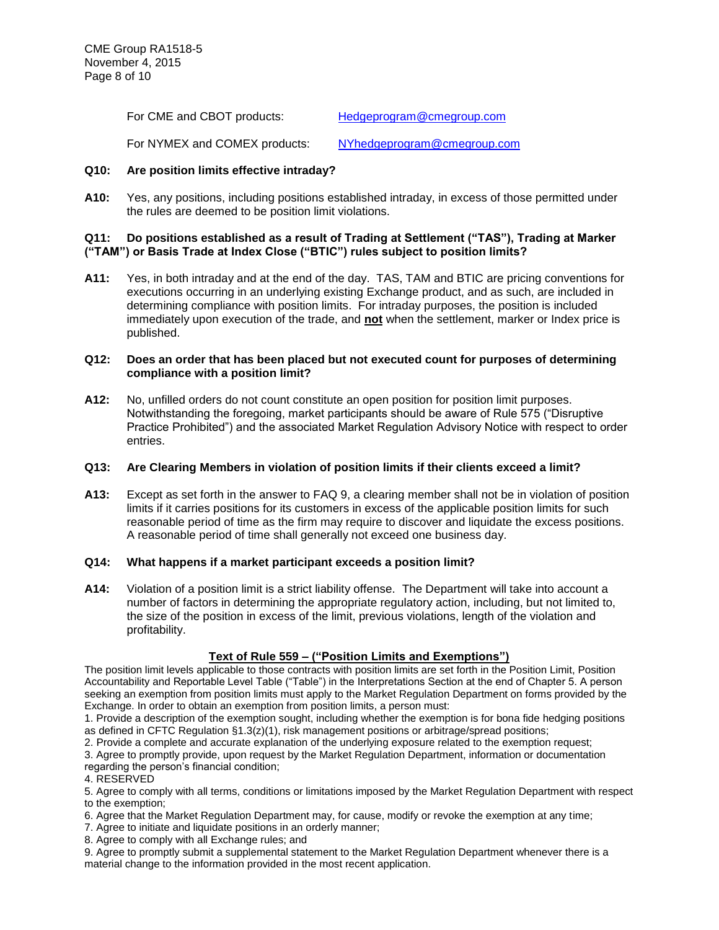For CME and CBOT products: [Hedgeprogram@cmegroup.com](mailto:Hedgeprogram@cmegroup.com)

For NYMEX and COMEX products: [NYhedgeprogram@cmegroup.com](mailto:NYhedgeprogram@cmegroup.com)

# **Q10: Are position limits effective intraday?**

**A10:** Yes, any positions, including positions established intraday, in excess of those permitted under the rules are deemed to be position limit violations.

## **Q11: Do positions established as a result of Trading at Settlement ("TAS"), Trading at Marker ("TAM") or Basis Trade at Index Close ("BTIC") rules subject to position limits?**

**A11:** Yes, in both intraday and at the end of the day. TAS, TAM and BTIC are pricing conventions for executions occurring in an underlying existing Exchange product, and as such, are included in determining compliance with position limits. For intraday purposes, the position is included immediately upon execution of the trade, and **not** when the settlement, marker or Index price is published.

## **Q12: Does an order that has been placed but not executed count for purposes of determining compliance with a position limit?**

**A12:** No, unfilled orders do not count constitute an open position for position limit purposes. Notwithstanding the foregoing, market participants should be aware of Rule 575 ("Disruptive Practice Prohibited") and the associated Market Regulation Advisory Notice with respect to order entries.

# **Q13: Are Clearing Members in violation of position limits if their clients exceed a limit?**

**A13:** Except as set forth in the answer to FAQ 9, a clearing member shall not be in violation of position limits if it carries positions for its customers in excess of the applicable position limits for such reasonable period of time as the firm may require to discover and liquidate the excess positions. A reasonable period of time shall generally not exceed one business day.

# **Q14: What happens if a market participant exceeds a position limit?**

**A14:** Violation of a position limit is a strict liability offense. The Department will take into account a number of factors in determining the appropriate regulatory action, including, but not limited to, the size of the position in excess of the limit, previous violations, length of the violation and profitability.

# **Text of Rule 559 – ("Position Limits and Exemptions")**

The position limit levels applicable to those contracts with position limits are set forth in the Position Limit, Position Accountability and Reportable Level Table ("Table") in the Interpretations Section at the end of Chapter 5. A person seeking an exemption from position limits must apply to the Market Regulation Department on forms provided by the Exchange. In order to obtain an exemption from position limits, a person must:

1. Provide a description of the exemption sought, including whether the exemption is for bona fide hedging positions as defined in CFTC Regulation §1.3(z)(1), risk management positions or arbitrage/spread positions;

2. Provide a complete and accurate explanation of the underlying exposure related to the exemption request;

3. Agree to promptly provide, upon request by the Market Regulation Department, information or documentation regarding the person's financial condition;

4. RESERVED

5. Agree to comply with all terms, conditions or limitations imposed by the Market Regulation Department with respect to the exemption;

- 6. Agree that the Market Regulation Department may, for cause, modify or revoke the exemption at any time;
- 7. Agree to initiate and liquidate positions in an orderly manner;
- 8. Agree to comply with all Exchange rules; and

9. Agree to promptly submit a supplemental statement to the Market Regulation Department whenever there is a material change to the information provided in the most recent application.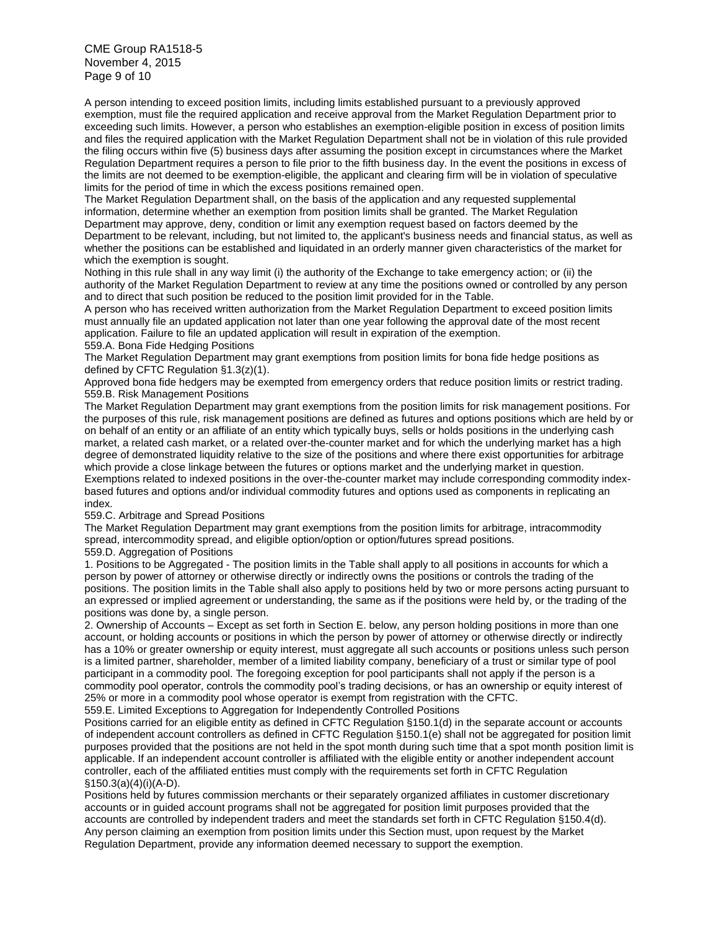CME Group RA1518-5 November 4, 2015 Page 9 of 10

A person intending to exceed position limits, including limits established pursuant to a previously approved exemption, must file the required application and receive approval from the Market Regulation Department prior to exceeding such limits. However, a person who establishes an exemption-eligible position in excess of position limits and files the required application with the Market Regulation Department shall not be in violation of this rule provided the filing occurs within five (5) business days after assuming the position except in circumstances where the Market Regulation Department requires a person to file prior to the fifth business day. In the event the positions in excess of the limits are not deemed to be exemption-eligible, the applicant and clearing firm will be in violation of speculative limits for the period of time in which the excess positions remained open.

The Market Regulation Department shall, on the basis of the application and any requested supplemental information, determine whether an exemption from position limits shall be granted. The Market Regulation Department may approve, deny, condition or limit any exemption request based on factors deemed by the Department to be relevant, including, but not limited to, the applicant's business needs and financial status, as well as whether the positions can be established and liquidated in an orderly manner given characteristics of the market for which the exemption is sought.

Nothing in this rule shall in any way limit (i) the authority of the Exchange to take emergency action; or (ii) the authority of the Market Regulation Department to review at any time the positions owned or controlled by any person and to direct that such position be reduced to the position limit provided for in the Table.

A person who has received written authorization from the Market Regulation Department to exceed position limits must annually file an updated application not later than one year following the approval date of the most recent application. Failure to file an updated application will result in expiration of the exemption.

559.A. Bona Fide Hedging Positions

The Market Regulation Department may grant exemptions from position limits for bona fide hedge positions as defined by CFTC Regulation §1.3(z)(1).

Approved bona fide hedgers may be exempted from emergency orders that reduce position limits or restrict trading. 559.B. Risk Management Positions

The Market Regulation Department may grant exemptions from the position limits for risk management positions. For the purposes of this rule, risk management positions are defined as futures and options positions which are held by or on behalf of an entity or an affiliate of an entity which typically buys, sells or holds positions in the underlying cash market, a related cash market, or a related over-the-counter market and for which the underlying market has a high degree of demonstrated liquidity relative to the size of the positions and where there exist opportunities for arbitrage which provide a close linkage between the futures or options market and the underlying market in question. Exemptions related to indexed positions in the over-the-counter market may include corresponding commodity indexbased futures and options and/or individual commodity futures and options used as components in replicating an index.

559.C. Arbitrage and Spread Positions

The Market Regulation Department may grant exemptions from the position limits for arbitrage, intracommodity spread, intercommodity spread, and eligible option/option or option/futures spread positions.

559.D. Aggregation of Positions

1. Positions to be Aggregated - The position limits in the Table shall apply to all positions in accounts for which a person by power of attorney or otherwise directly or indirectly owns the positions or controls the trading of the positions. The position limits in the Table shall also apply to positions held by two or more persons acting pursuant to an expressed or implied agreement or understanding, the same as if the positions were held by, or the trading of the positions was done by, a single person.

2. Ownership of Accounts – Except as set forth in Section E. below, any person holding positions in more than one account, or holding accounts or positions in which the person by power of attorney or otherwise directly or indirectly has a 10% or greater ownership or equity interest, must aggregate all such accounts or positions unless such person is a limited partner, shareholder, member of a limited liability company, beneficiary of a trust or similar type of pool participant in a commodity pool. The foregoing exception for pool participants shall not apply if the person is a commodity pool operator, controls the commodity pool's trading decisions, or has an ownership or equity interest of 25% or more in a commodity pool whose operator is exempt from registration with the CFTC. 559.E. Limited Exceptions to Aggregation for Independently Controlled Positions

Positions carried for an eligible entity as defined in CFTC Regulation §150.1(d) in the separate account or accounts of independent account controllers as defined in CFTC Regulation §150.1(e) shall not be aggregated for position limit purposes provided that the positions are not held in the spot month during such time that a spot month position limit is applicable. If an independent account controller is affiliated with the eligible entity or another independent account controller, each of the affiliated entities must comply with the requirements set forth in CFTC Regulation §150.3(a)(4)(i)(A-D).

Positions held by futures commission merchants or their separately organized affiliates in customer discretionary accounts or in guided account programs shall not be aggregated for position limit purposes provided that the accounts are controlled by independent traders and meet the standards set forth in CFTC Regulation §150.4(d). Any person claiming an exemption from position limits under this Section must, upon request by the Market Regulation Department, provide any information deemed necessary to support the exemption.